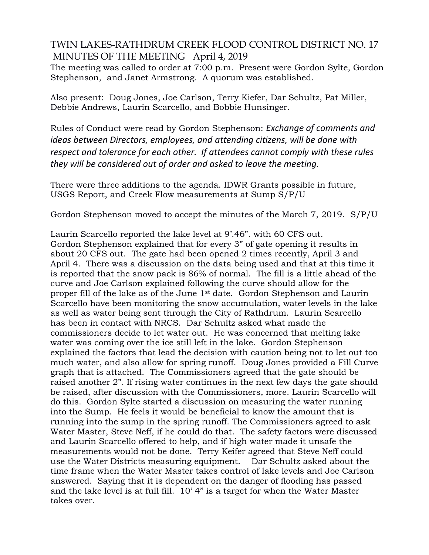## TWIN LAKES-RATHDRUM CREEK FLOOD CONTROL DISTRICT NO. 17 MINUTES OF THE MEETING April 4, 2019

The meeting was called to order at 7:00 p.m. Present were Gordon Sylte, Gordon Stephenson, and Janet Armstrong. A quorum was established.

Also present: Doug Jones, Joe Carlson, Terry Kiefer, Dar Schultz, Pat Miller, Debbie Andrews, Laurin Scarcello, and Bobbie Hunsinger.

Rules of Conduct were read by Gordon Stephenson: *Exchange of comments and ideas between Directors, employees, and attending citizens, will be done with respect and tolerance for each other. If attendees cannot comply with these rules they will be considered out of order and asked to leave the meeting.*

There were three additions to the agenda. IDWR Grants possible in future, USGS Report, and Creek Flow measurements at Sump S/P/U

Gordon Stephenson moved to accept the minutes of the March 7, 2019. S/P/U

Laurin Scarcello reported the lake level at 9'.46". with 60 CFS out. Gordon Stephenson explained that for every 3" of gate opening it results in about 20 CFS out. The gate had been opened 2 times recently, April 3 and April 4. There was a discussion on the data being used and that at this time it is reported that the snow pack is 86% of normal. The fill is a little ahead of the curve and Joe Carlson explained following the curve should allow for the proper fill of the lake as of the June 1st date. Gordon Stephenson and Laurin Scarcello have been monitoring the snow accumulation, water levels in the lake as well as water being sent through the City of Rathdrum. Laurin Scarcello has been in contact with NRCS. Dar Schultz asked what made the commissioners decide to let water out. He was concerned that melting lake water was coming over the ice still left in the lake. Gordon Stephenson explained the factors that lead the decision with caution being not to let out too much water, and also allow for spring runoff. Doug Jones provided a Fill Curve graph that is attached. The Commissioners agreed that the gate should be raised another 2". If rising water continues in the next few days the gate should be raised, after discussion with the Commissioners, more. Laurin Scarcello will do this. Gordon Sylte started a discussion on measuring the water running into the Sump. He feels it would be beneficial to know the amount that is running into the sump in the spring runoff. The Commissioners agreed to ask Water Master, Steve Neff, if he could do that. The safety factors were discussed and Laurin Scarcello offered to help, and if high water made it unsafe the measurements would not be done. Terry Keifer agreed that Steve Neff could use the Water Districts measuring equipment. Dar Schultz asked about the time frame when the Water Master takes control of lake levels and Joe Carlson answered. Saying that it is dependent on the danger of flooding has passed and the lake level is at full fill. 10' 4" is a target for when the Water Master takes over.